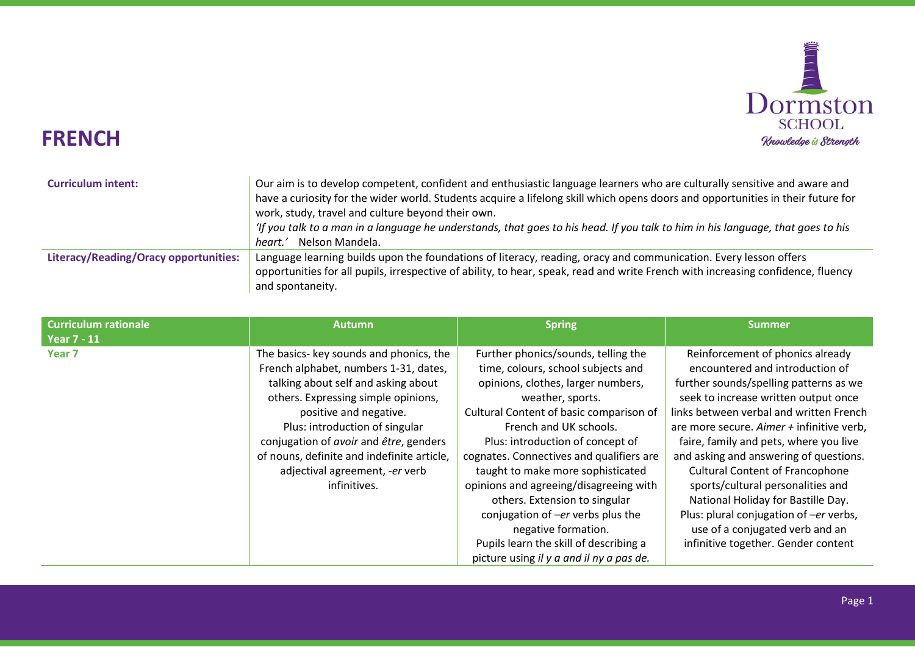

## FRENCH

| <b>Curriculum intent:</b>                    | Our aim is to develop competent, confident and enthusiastic language learners who are culturally sensitive and aware and<br>have a curiosity for the wider world. Students acquire a lifelong skill which opens doors and opportunities in their future for<br>work, study, travel and culture beyond their own.<br>'If you talk to a man in a language he understands, that goes to his head. If you talk to him in his language, that goes to his<br>Nelson Mandela.<br>heart.' |
|----------------------------------------------|-----------------------------------------------------------------------------------------------------------------------------------------------------------------------------------------------------------------------------------------------------------------------------------------------------------------------------------------------------------------------------------------------------------------------------------------------------------------------------------|
| <b>Literacy/Reading/Oracy opportunities:</b> | Language learning builds upon the foundations of literacy, reading, oracy and communication. Every lesson offers<br>opportunities for all pupils, irrespective of ability, to hear, speak, read and write French with increasing confidence, fluency<br>and spontaneity.                                                                                                                                                                                                          |

| <b>Curriculum rationale</b> | <b>Autumn</b>                              | <b>Spring</b>                            | <b>Summer</b>                             |
|-----------------------------|--------------------------------------------|------------------------------------------|-------------------------------------------|
| <b>Year 7 - 11</b>          |                                            |                                          |                                           |
| Year <sub>7</sub>           | The basics- key sounds and phonics, the    | Further phonics/sounds, telling the      | Reinforcement of phonics already          |
|                             | French alphabet, numbers 1-31, dates,      | time, colours, school subjects and       | encountered and introduction of           |
|                             | talking about self and asking about        | opinions, clothes, larger numbers,       | further sounds/spelling patterns as we    |
|                             | others. Expressing simple opinions,        | weather, sports.                         | seek to increase written output once      |
|                             | positive and negative.                     | Cultural Content of basic comparison of  | links between verbal and written French   |
|                             | Plus: introduction of singular             | French and UK schools.                   | are more secure. Aimer + infinitive verb, |
|                             | conjugation of avoir and être, genders     | Plus: introduction of concept of         | faire, family and pets, where you live    |
|                             | of nouns, definite and indefinite article, | cognates. Connectives and qualifiers are | and asking and answering of questions.    |
|                             | adjectival agreement, -er verb             | taught to make more sophisticated        | <b>Cultural Content of Francophone</b>    |
|                             | infinitives.                               | opinions and agreeing/disagreeing with   | sports/cultural personalities and         |
|                             |                                            | others. Extension to singular            | National Holiday for Bastille Day.        |
|                             |                                            | conjugation of -er verbs plus the        | Plus: plural conjugation of -er verbs,    |
|                             |                                            | negative formation.                      | use of a conjugated verb and an           |
|                             |                                            | Pupils learn the skill of describing a   | infinitive together. Gender content       |
|                             |                                            | picture using il y a and il ny a pas de. |                                           |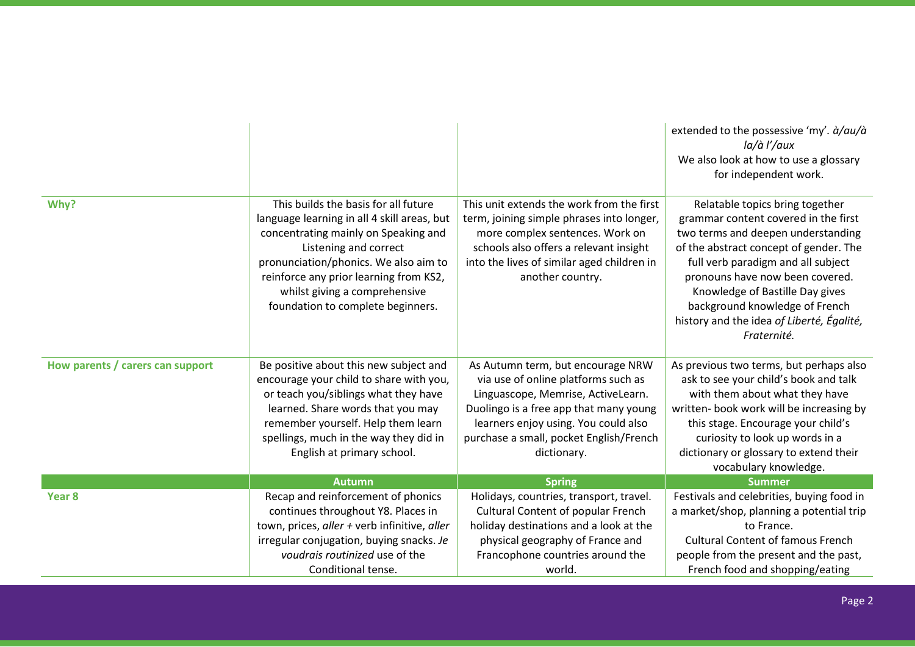|                                  |                                                                                                                                                                                                                                                                                                               |                                                                                                                                                                                                                                                            | extended to the possessive 'my'. $\dot{a}/au/\dot{a}$<br>la/à l'/aux<br>We also look at how to use a glossary<br>for independent work.                                                                                                                                                                                                                            |
|----------------------------------|---------------------------------------------------------------------------------------------------------------------------------------------------------------------------------------------------------------------------------------------------------------------------------------------------------------|------------------------------------------------------------------------------------------------------------------------------------------------------------------------------------------------------------------------------------------------------------|-------------------------------------------------------------------------------------------------------------------------------------------------------------------------------------------------------------------------------------------------------------------------------------------------------------------------------------------------------------------|
|                                  |                                                                                                                                                                                                                                                                                                               |                                                                                                                                                                                                                                                            |                                                                                                                                                                                                                                                                                                                                                                   |
| Why?                             | This builds the basis for all future<br>language learning in all 4 skill areas, but<br>concentrating mainly on Speaking and<br>Listening and correct<br>pronunciation/phonics. We also aim to<br>reinforce any prior learning from KS2,<br>whilst giving a comprehensive<br>foundation to complete beginners. | This unit extends the work from the first<br>term, joining simple phrases into longer,<br>more complex sentences. Work on<br>schools also offers a relevant insight<br>into the lives of similar aged children in<br>another country.                      | Relatable topics bring together<br>grammar content covered in the first<br>two terms and deepen understanding<br>of the abstract concept of gender. The<br>full verb paradigm and all subject<br>pronouns have now been covered.<br>Knowledge of Bastille Day gives<br>background knowledge of French<br>history and the idea of Liberté, Égalité,<br>Fraternité. |
| How parents / carers can support | Be positive about this new subject and<br>encourage your child to share with you,<br>or teach you/siblings what they have<br>learned. Share words that you may<br>remember yourself. Help them learn<br>spellings, much in the way they did in<br>English at primary school.                                  | As Autumn term, but encourage NRW<br>via use of online platforms such as<br>Linguascope, Memrise, ActiveLearn.<br>Duolingo is a free app that many young<br>learners enjoy using. You could also<br>purchase a small, pocket English/French<br>dictionary. | As previous two terms, but perhaps also<br>ask to see your child's book and talk<br>with them about what they have<br>written- book work will be increasing by<br>this stage. Encourage your child's<br>curiosity to look up words in a<br>dictionary or glossary to extend their<br>vocabulary knowledge.                                                        |
|                                  | <b>Autumn</b>                                                                                                                                                                                                                                                                                                 | <b>Spring</b>                                                                                                                                                                                                                                              | <b>Summer</b>                                                                                                                                                                                                                                                                                                                                                     |
| Year 8                           | Recap and reinforcement of phonics<br>continues throughout Y8. Places in<br>town, prices, aller + verb infinitive, aller                                                                                                                                                                                      | Holidays, countries, transport, travel.<br><b>Cultural Content of popular French</b><br>holiday destinations and a look at the                                                                                                                             | Festivals and celebrities, buying food in<br>a market/shop, planning a potential trip<br>to France.                                                                                                                                                                                                                                                               |
|                                  | irregular conjugation, buying snacks. Je<br>voudrais routinized use of the<br>Conditional tense.                                                                                                                                                                                                              | physical geography of France and<br>Francophone countries around the<br>world.                                                                                                                                                                             | <b>Cultural Content of famous French</b><br>people from the present and the past,<br>French food and shopping/eating                                                                                                                                                                                                                                              |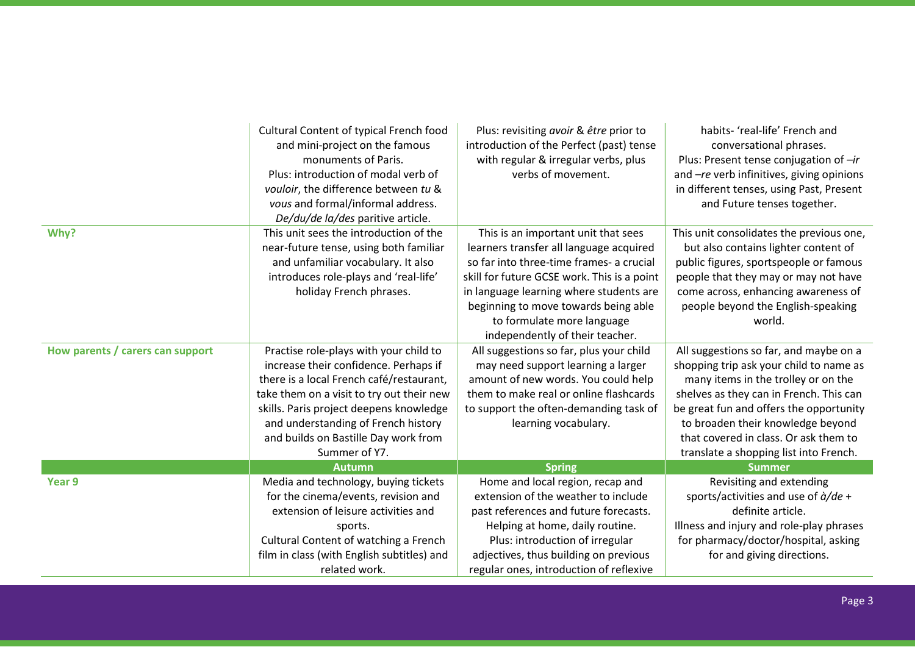|                                  | Cultural Content of typical French food<br>and mini-project on the famous<br>monuments of Paris.<br>Plus: introduction of modal verb of<br>vouloir, the difference between tu &<br>vous and formal/informal address.<br>De/du/de la/des paritive article.                                                           | Plus: revisiting avoir & être prior to<br>introduction of the Perfect (past) tense<br>with regular & irregular verbs, plus<br>verbs of movement.                                                                                                                                                                              | habits- 'real-life' French and<br>conversational phrases.<br>Plus: Present tense conjugation of -ir<br>and -re verb infinitives, giving opinions<br>in different tenses, using Past, Present<br>and Future tenses together.                                                                                                            |
|----------------------------------|---------------------------------------------------------------------------------------------------------------------------------------------------------------------------------------------------------------------------------------------------------------------------------------------------------------------|-------------------------------------------------------------------------------------------------------------------------------------------------------------------------------------------------------------------------------------------------------------------------------------------------------------------------------|----------------------------------------------------------------------------------------------------------------------------------------------------------------------------------------------------------------------------------------------------------------------------------------------------------------------------------------|
| Why?                             | This unit sees the introduction of the<br>near-future tense, using both familiar<br>and unfamiliar vocabulary. It also<br>introduces role-plays and 'real-life'<br>holiday French phrases.                                                                                                                          | This is an important unit that sees<br>learners transfer all language acquired<br>so far into three-time frames- a crucial<br>skill for future GCSE work. This is a point<br>in language learning where students are<br>beginning to move towards being able<br>to formulate more language<br>independently of their teacher. | This unit consolidates the previous one,<br>but also contains lighter content of<br>public figures, sportspeople or famous<br>people that they may or may not have<br>come across, enhancing awareness of<br>people beyond the English-speaking<br>world.                                                                              |
| How parents / carers can support | Practise role-plays with your child to<br>increase their confidence. Perhaps if<br>there is a local French café/restaurant,<br>take them on a visit to try out their new<br>skills. Paris project deepens knowledge<br>and understanding of French history<br>and builds on Bastille Day work from<br>Summer of Y7. | All suggestions so far, plus your child<br>may need support learning a larger<br>amount of new words. You could help<br>them to make real or online flashcards<br>to support the often-demanding task of<br>learning vocabulary.                                                                                              | All suggestions so far, and maybe on a<br>shopping trip ask your child to name as<br>many items in the trolley or on the<br>shelves as they can in French. This can<br>be great fun and offers the opportunity<br>to broaden their knowledge beyond<br>that covered in class. Or ask them to<br>translate a shopping list into French. |
|                                  | <b>Autumn</b>                                                                                                                                                                                                                                                                                                       | <b>Spring</b>                                                                                                                                                                                                                                                                                                                 | <b>Summer</b>                                                                                                                                                                                                                                                                                                                          |
| Year 9                           | Media and technology, buying tickets<br>for the cinema/events, revision and<br>extension of leisure activities and<br>sports.<br>Cultural Content of watching a French<br>film in class (with English subtitles) and<br>related work.                                                                               | Home and local region, recap and<br>extension of the weather to include<br>past references and future forecasts.<br>Helping at home, daily routine.<br>Plus: introduction of irregular<br>adjectives, thus building on previous<br>regular ones, introduction of reflexive                                                    | Revisiting and extending<br>sports/activities and use of $\dot{a}/de$ +<br>definite article.<br>Illness and injury and role-play phrases<br>for pharmacy/doctor/hospital, asking<br>for and giving directions.                                                                                                                         |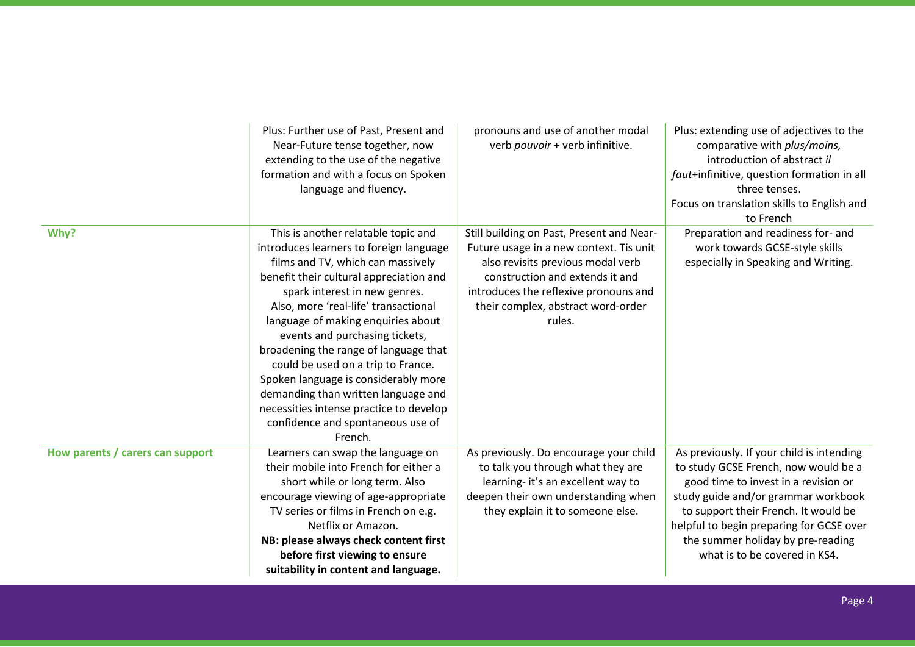|                                  | Plus: Further use of Past, Present and<br>Near-Future tense together, now<br>extending to the use of the negative<br>formation and with a focus on Spoken<br>language and fluency.                                                                                                                                                                                                                                                                                                                                                                                       | pronouns and use of another modal<br>verb pouvoir + verb infinitive.                                                                                                                                                                                  | Plus: extending use of adjectives to the<br>comparative with plus/moins,<br>introduction of abstract il<br>faut+infinitive, question formation in all<br>three tenses.<br>Focus on translation skills to English and<br>to French                                                                                          |
|----------------------------------|--------------------------------------------------------------------------------------------------------------------------------------------------------------------------------------------------------------------------------------------------------------------------------------------------------------------------------------------------------------------------------------------------------------------------------------------------------------------------------------------------------------------------------------------------------------------------|-------------------------------------------------------------------------------------------------------------------------------------------------------------------------------------------------------------------------------------------------------|----------------------------------------------------------------------------------------------------------------------------------------------------------------------------------------------------------------------------------------------------------------------------------------------------------------------------|
| Why?                             | This is another relatable topic and<br>introduces learners to foreign language<br>films and TV, which can massively<br>benefit their cultural appreciation and<br>spark interest in new genres.<br>Also, more 'real-life' transactional<br>language of making enquiries about<br>events and purchasing tickets,<br>broadening the range of language that<br>could be used on a trip to France.<br>Spoken language is considerably more<br>demanding than written language and<br>necessities intense practice to develop<br>confidence and spontaneous use of<br>French. | Still building on Past, Present and Near-<br>Future usage in a new context. Tis unit<br>also revisits previous modal verb<br>construction and extends it and<br>introduces the reflexive pronouns and<br>their complex, abstract word-order<br>rules. | Preparation and readiness for- and<br>work towards GCSE-style skills<br>especially in Speaking and Writing.                                                                                                                                                                                                                |
| How parents / carers can support | Learners can swap the language on<br>their mobile into French for either a<br>short while or long term. Also<br>encourage viewing of age-appropriate<br>TV series or films in French on e.g.<br>Netflix or Amazon.<br>NB: please always check content first<br>before first viewing to ensure<br>suitability in content and language.                                                                                                                                                                                                                                    | As previously. Do encourage your child<br>to talk you through what they are<br>learning-it's an excellent way to<br>deepen their own understanding when<br>they explain it to someone else.                                                           | As previously. If your child is intending<br>to study GCSE French, now would be a<br>good time to invest in a revision or<br>study guide and/or grammar workbook<br>to support their French. It would be<br>helpful to begin preparing for GCSE over<br>the summer holiday by pre-reading<br>what is to be covered in KS4. |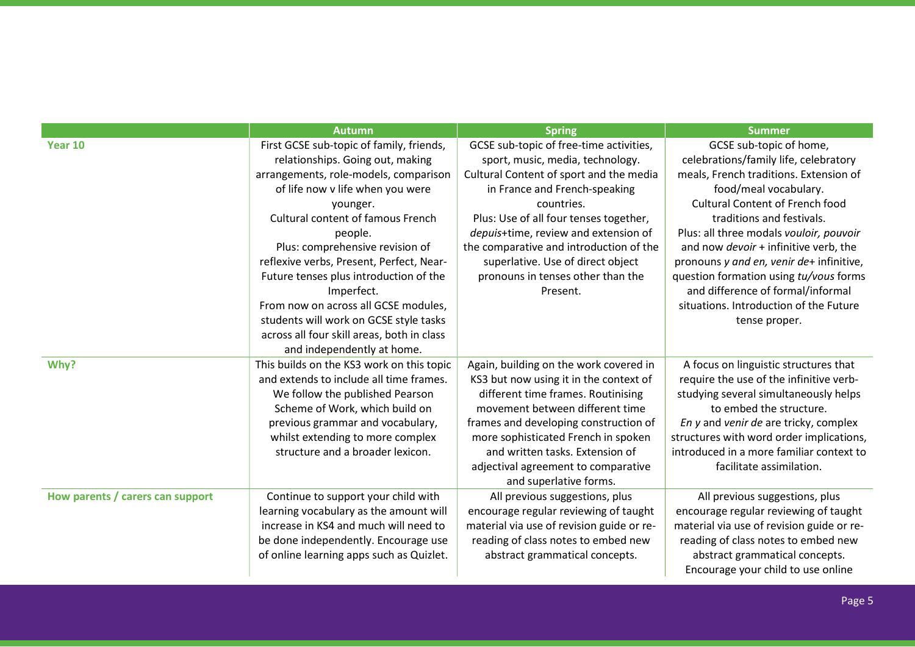|                                  | <b>Autumn</b>                              | <b>Spring</b>                             | <b>Summer</b>                             |
|----------------------------------|--------------------------------------------|-------------------------------------------|-------------------------------------------|
| Year 10                          | First GCSE sub-topic of family, friends,   | GCSE sub-topic of free-time activities,   | GCSE sub-topic of home,                   |
|                                  | relationships. Going out, making           | sport, music, media, technology.          | celebrations/family life, celebratory     |
|                                  | arrangements, role-models, comparison      | Cultural Content of sport and the media   | meals, French traditions. Extension of    |
|                                  | of life now v life when you were           | in France and French-speaking             | food/meal vocabulary.                     |
|                                  | younger.                                   | countries.                                | <b>Cultural Content of French food</b>    |
|                                  | <b>Cultural content of famous French</b>   | Plus: Use of all four tenses together,    | traditions and festivals.                 |
|                                  | people.                                    | depuis+time, review and extension of      | Plus: all three modals vouloir, pouvoir   |
|                                  | Plus: comprehensive revision of            | the comparative and introduction of the   | and now devoir + infinitive verb, the     |
|                                  | reflexive verbs, Present, Perfect, Near-   | superlative. Use of direct object         | pronouns y and en, venir de+ infinitive,  |
|                                  | Future tenses plus introduction of the     | pronouns in tenses other than the         | question formation using tu/vous forms    |
|                                  | Imperfect.                                 | Present.                                  | and difference of formal/informal         |
|                                  | From now on across all GCSE modules,       |                                           | situations. Introduction of the Future    |
|                                  | students will work on GCSE style tasks     |                                           | tense proper.                             |
|                                  | across all four skill areas, both in class |                                           |                                           |
|                                  | and independently at home.                 |                                           |                                           |
| Why?                             | This builds on the KS3 work on this topic  | Again, building on the work covered in    | A focus on linguistic structures that     |
|                                  | and extends to include all time frames.    | KS3 but now using it in the context of    | require the use of the infinitive verb-   |
|                                  | We follow the published Pearson            | different time frames. Routinising        | studying several simultaneously helps     |
|                                  | Scheme of Work, which build on             | movement between different time           | to embed the structure.                   |
|                                  | previous grammar and vocabulary,           | frames and developing construction of     | En y and venir de are tricky, complex     |
|                                  | whilst extending to more complex           | more sophisticated French in spoken       | structures with word order implications,  |
|                                  | structure and a broader lexicon.           | and written tasks. Extension of           | introduced in a more familiar context to  |
|                                  |                                            | adjectival agreement to comparative       | facilitate assimilation.                  |
|                                  |                                            | and superlative forms.                    |                                           |
| How parents / carers can support | Continue to support your child with        | All previous suggestions, plus            | All previous suggestions, plus            |
|                                  | learning vocabulary as the amount will     | encourage regular reviewing of taught     | encourage regular reviewing of taught     |
|                                  | increase in KS4 and much will need to      | material via use of revision guide or re- | material via use of revision guide or re- |
|                                  | be done independently. Encourage use       | reading of class notes to embed new       | reading of class notes to embed new       |
|                                  | of online learning apps such as Quizlet.   | abstract grammatical concepts.            | abstract grammatical concepts.            |
|                                  |                                            |                                           | Encourage your child to use online        |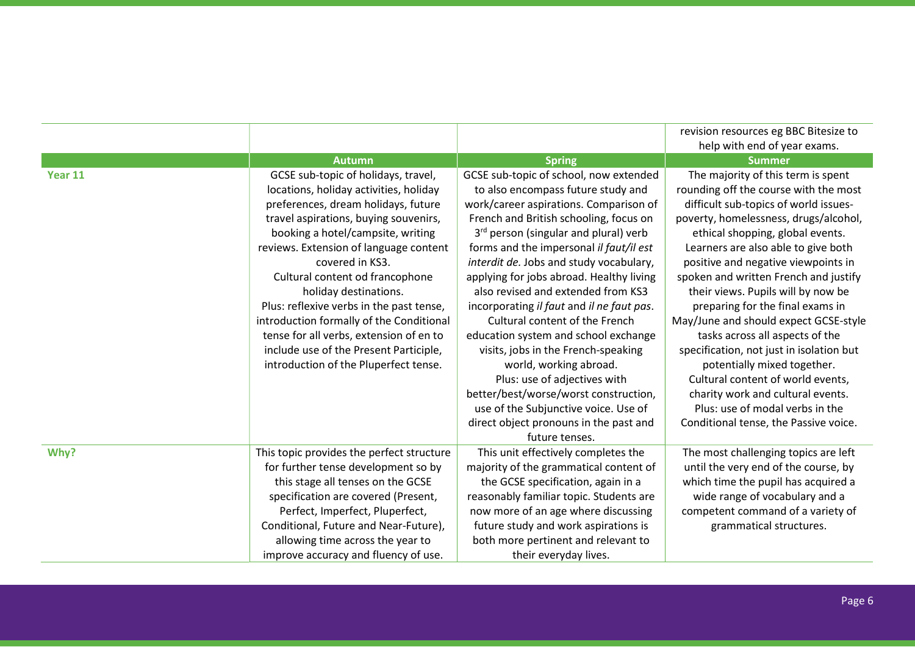|         |                                           |                                           | revision resources eg BBC Bitesize to    |
|---------|-------------------------------------------|-------------------------------------------|------------------------------------------|
|         |                                           |                                           | help with end of year exams.             |
|         | <b>Autumn</b>                             | <b>Spring</b>                             | <b>Summer</b>                            |
| Year 11 | GCSE sub-topic of holidays, travel,       | GCSE sub-topic of school, now extended    | The majority of this term is spent       |
|         | locations, holiday activities, holiday    | to also encompass future study and        | rounding off the course with the most    |
|         | preferences, dream holidays, future       | work/career aspirations. Comparison of    | difficult sub-topics of world issues-    |
|         | travel aspirations, buying souvenirs,     | French and British schooling, focus on    | poverty, homelessness, drugs/alcohol,    |
|         | booking a hotel/campsite, writing         | 3rd person (singular and plural) verb     | ethical shopping, global events.         |
|         | reviews. Extension of language content    | forms and the impersonal il faut/il est   | Learners are also able to give both      |
|         | covered in KS3.                           | interdit de. Jobs and study vocabulary,   | positive and negative viewpoints in      |
|         | Cultural content od francophone           | applying for jobs abroad. Healthy living  | spoken and written French and justify    |
|         | holiday destinations.                     | also revised and extended from KS3        | their views. Pupils will by now be       |
|         | Plus: reflexive verbs in the past tense,  | incorporating il faut and il ne faut pas. | preparing for the final exams in         |
|         | introduction formally of the Conditional  | Cultural content of the French            | May/June and should expect GCSE-style    |
|         | tense for all verbs, extension of en to   | education system and school exchange      | tasks across all aspects of the          |
|         | include use of the Present Participle,    | visits, jobs in the French-speaking       | specification, not just in isolation but |
|         | introduction of the Pluperfect tense.     | world, working abroad.                    | potentially mixed together.              |
|         |                                           | Plus: use of adjectives with              | Cultural content of world events,        |
|         |                                           | better/best/worse/worst construction,     | charity work and cultural events.        |
|         |                                           | use of the Subjunctive voice. Use of      | Plus: use of modal verbs in the          |
|         |                                           | direct object pronouns in the past and    | Conditional tense, the Passive voice.    |
|         |                                           | future tenses.                            |                                          |
| Why?    | This topic provides the perfect structure | This unit effectively completes the       | The most challenging topics are left     |
|         | for further tense development so by       | majority of the grammatical content of    | until the very end of the course, by     |
|         | this stage all tenses on the GCSE         | the GCSE specification, again in a        | which time the pupil has acquired a      |
|         | specification are covered (Present,       | reasonably familiar topic. Students are   | wide range of vocabulary and a           |
|         | Perfect, Imperfect, Pluperfect,           | now more of an age where discussing       | competent command of a variety of        |
|         | Conditional, Future and Near-Future),     | future study and work aspirations is      | grammatical structures.                  |
|         | allowing time across the year to          | both more pertinent and relevant to       |                                          |
|         | improve accuracy and fluency of use.      | their everyday lives.                     |                                          |